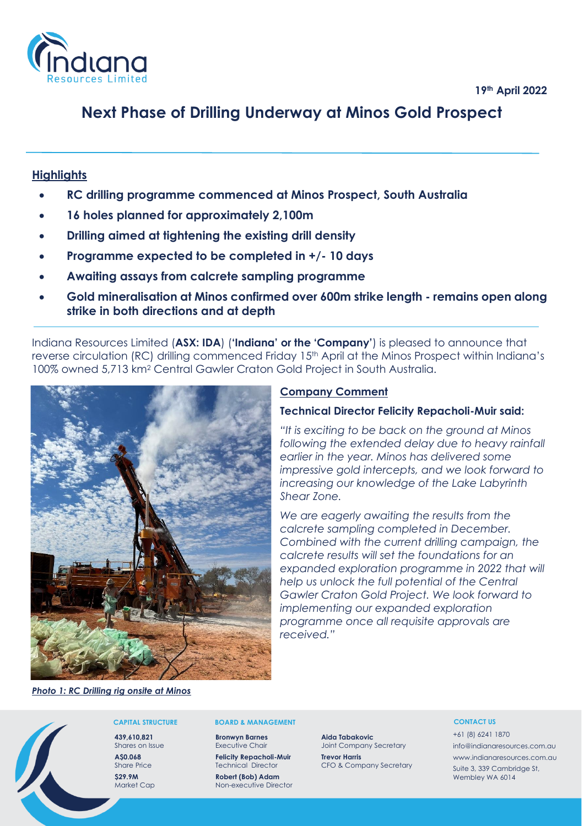# **Next Phase of Drilling Underway at Minos Gold Prospect**

# **Highlights**

- **RC drilling programme commenced at Minos Prospect, South Australia**
- **16 holes planned for approximately 2,100m**
- **Drilling aimed at tightening the existing drill density**
- **Programme expected to be completed in +/- 10 days**
- **Awaiting assays from calcrete sampling programme**
- **Gold mineralisation at Minos confirmed over 600m strike length - remains open along strike in both directions and at depth**

Indiana Resources Limited (**ASX: IDA**) (**'Indiana' or the 'Company'**) is pleased to announce that reverse circulation (RC) drilling commenced Friday 15<sup>th</sup> April at the Minos Prospect within Indiana's 100% owned 5,713 km<sup>2</sup> Central Gawler Craton Gold Project in South Australia.



# **Company Comment**

# **Technical Director Felicity Repacholi-Muir said:**

*"It is exciting to be back on the ground at Minos following the extended delay due to heavy rainfall earlier in the year. Minos has delivered some impressive gold intercepts, and we look forward to increasing our knowledge of the Lake Labyrinth Shear Zone.* 

*We are eagerly awaiting the results from the calcrete sampling completed in December. Combined with the current drilling campaign, the calcrete results will set the foundations for an expanded exploration programme in 2022 that will help us unlock the full potential of the Central Gawler Craton Gold Project. We look forward to implementing our expanded exploration programme once all requisite approvals are received."*

*Photo 1: RC Drilling rig onsite at Minos*

### **CAPITAL STRUCTURE**

**439,610,821** Shares on Issue **A\$0.068** Share Price **\$29.9M** Market Cap

#### **BOARD & MANAGEMENT**

**Bronwyn Barnes** Executive Chair

**Felicity Repacholi-Muir** Technical Director **Robert (Bob) Adam**

Non-executive Director

**Aida Tabakovic**  Joint Company Secretary **Trevor Harris** CFO & Company Secretary

#### **CONTACT US**

+61 (8) 6241 1870 info@indianaresources.com.au www.indianaresources.com.au Suite 3, 339 Cambridge St, Wembley WA 6014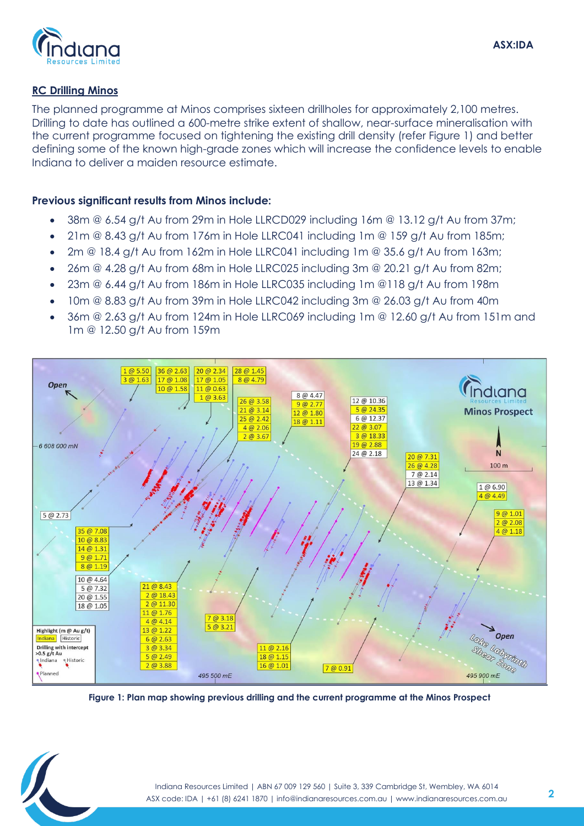# **RC Drilling Minos**

The planned programme at Minos comprises sixteen drillholes for approximately 2,100 metres. Drilling to date has outlined a 600-metre strike extent of shallow, near-surface mineralisation with the current programme focused on tightening the existing drill density (refer Figure 1) and better defining some of the known high-grade zones which will increase the confidence levels to enable Indiana to deliver a maiden resource estimate.

# **Previous significant results from Minos include:**

- 38m @ 6.54 g/t Au from 29m in Hole LLRCD029 including 16m @ 13.12 g/t Au from 37m;
- 21m  $@ 8.43$  g/t Au from 176m in Hole LLRC041 including 1m  $@ 159$  g/t Au from 185m;
- 2m @ 18.4 g/t Au from 162m in Hole LLRC041 including 1m @ 35.6 g/t Au from 163m;
- 26m @ 4.28 g/t Au from 68m in Hole LLRC025 including 3m @ 20.21 g/t Au from 82m;
- 23m @ 6.44 g/t Au from 186m in Hole LLRC035 including 1m @118 g/t Au from 198m
- 10m @ 8.83 g/t Au from 39m in Hole LLRC042 including 3m @ 26.03 g/t Au from 40m
- 36m @ 2.63 g/t Au from 124m in Hole LLRC069 including 1m @ 12.60 g/t Au from 151m and 1m @ 12.50 g/t Au from 159m



**Figure 1: Plan map showing previous drilling and the current programme at the Minos Prospect**

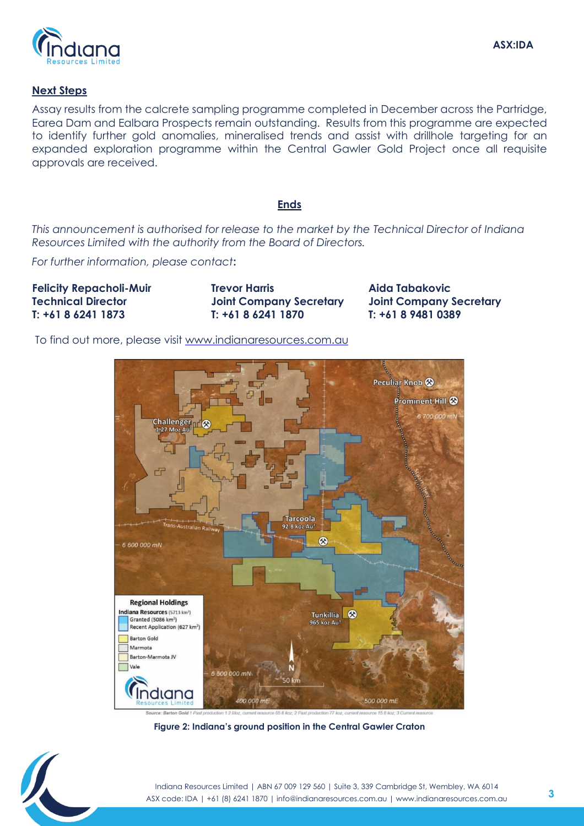

# **Next Steps**

Assay results from the calcrete sampling programme completed in December across the Partridge, Earea Dam and Ealbara Prospects remain outstanding. Results from this programme are expected to identify further gold anomalies, mineralised trends and assist with drillhole targeting for an expanded exploration programme within the Central Gawler Gold Project once all requisite approvals are received.

# **Ends**

*This announcement is authorised for release to the market by the Technical Director of Indiana Resources Limited with the authority from the Board of Directors.* 

*For further information, please contact***:** 

**Felicity Repacholi-Muir Technical Director T: +61 8 6241 1873**

**Trevor Harris Joint Company Secretary T: +61 8 6241 1870**

**Aida Tabakovic Joint Company Secretary T: +61 8 9481 0389**

To find out more, please visit [www.indianaresources.com.au](http://www.indianaresources.com.au/)



**Figure 2: Indiana's ground position in the Central Gawler Craton**